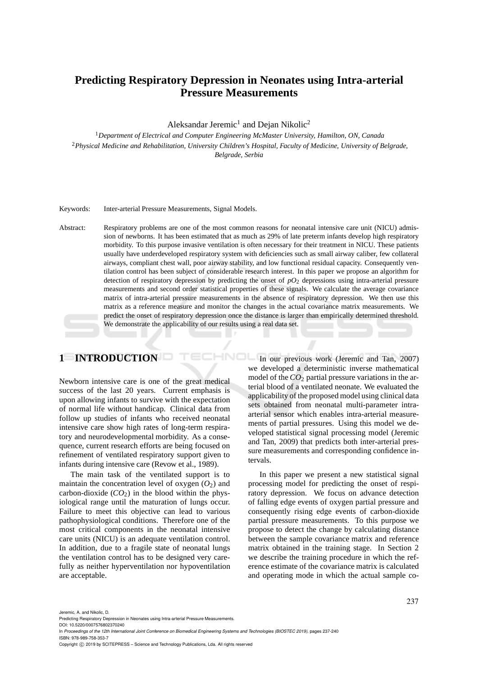# **Predicting Respiratory Depression in Neonates using Intra-arterial Pressure Measurements**

Aleksandar Jeremic<sup>1</sup> and Dejan Nikolic<sup>2</sup>

<sup>1</sup>*Department of Electrical and Computer Engineering McMaster University, Hamilton, ON, Canada* <sup>2</sup>*Physical Medicine and Rehabilitation, University Children's Hospital, Faculty of Medicine, University of Belgrade, Belgrade, Serbia*

#### Keywords: Inter-arterial Pressure Measurements, Signal Models.

Abstract: Respiratory problems are one of the most common reasons for neonatal intensive care unit (NICU) admission of newborns. It has been estimated that as much as 29% of late preterm infants develop high respiratory morbidity. To this purpose invasive ventilation is often necessary for their treatment in NICU. These patients usually have underdeveloped respiratory system with deficiencies such as small airway caliber, few collateral airways, compliant chest wall, poor airway stability, and low functional residual capacity. Consequently ventilation control has been subject of considerable research interest. In this paper we propose an algorithm for detection of respiratory depression by predicting the onset of  $pO<sub>2</sub>$  depressions using intra-arterial pressure measurements and second order statistical properties of these signals. We calculate the average covariance matrix of intra-arterial pressure measurements in the absence of respiratory depression. We then use this matrix as a reference measure and monitor the changes in the actual covariance matrix measurements. We predict the onset of respiratory depression once the distance is larger than empirically determined threshold. We demonstrate the applicability of our results using a real data set.

# **1 INTRODUCTION**

Newborn intensive care is one of the great medical success of the last 20 years. Current emphasis is upon allowing infants to survive with the expectation of normal life without handicap. Clinical data from follow up studies of infants who received neonatal intensive care show high rates of long-term respiratory and neurodevelopmental morbidity. As a consequence, current research efforts are being focused on refinement of ventilated respiratory support given to infants during intensive care (Revow et al., 1989).

The main task of the ventilated support is to maintain the concentration level of oxygen  $(O<sub>2</sub>)$  and carbon-dioxide  $(CO_2)$  in the blood within the physiological range until the maturation of lungs occur. Failure to meet this objective can lead to various pathophysiological conditions. Therefore one of the most critical components in the neonatal intensive care units (NICU) is an adequate ventilation control. In addition, due to a fragile state of neonatal lungs the ventilation control has to be designed very carefully as neither hyperventilation nor hypoventilation are acceptable.

HNOL In our previous work (Jeremic and Tan, 2007) we developed a deterministic inverse mathematical model of the *CO*<sup>2</sup> partial pressure variations in the arterial blood of a ventilated neonate. We evaluated the applicability of the proposed model using clinical data sets obtained from neonatal multi-parameter intraarterial sensor which enables intra-arterial measurements of partial pressures. Using this model we developed statistical signal processing model (Jeremic and Tan, 2009) that predicts both inter-arterial pressure measurements and corresponding confidence intervals.

> In this paper we present a new statistical signal processing model for predicting the onset of respiratory depression. We focus on advance detection of falling edge events of oxygen partial pressure and consequently rising edge events of carbon-dioxide partial pressure measurements. To this purpose we propose to detect the change by calculating distance between the sample covariance matrix and reference matrix obtained in the training stage. In Section 2 we describe the training procedure in which the reference estimate of the covariance matrix is calculated and operating mode in which the actual sample co-

Jeremic, A. and Nikolic, D.

Predicting Respiratory Depression in Neonates using Intra-arterial Pressure Measurements.

DOI: 10.5220/0007576802370240 In *Proceedings of the 12th International Joint Conference on Biomedical Engineering Systems and Technologies (BIOSTEC 2019)*, pages 237-240

ISBN: 978-989-758-353-7

Copyright (C) 2019 by SCITEPRESS - Science and Technology Publications, Lda. All rights reserved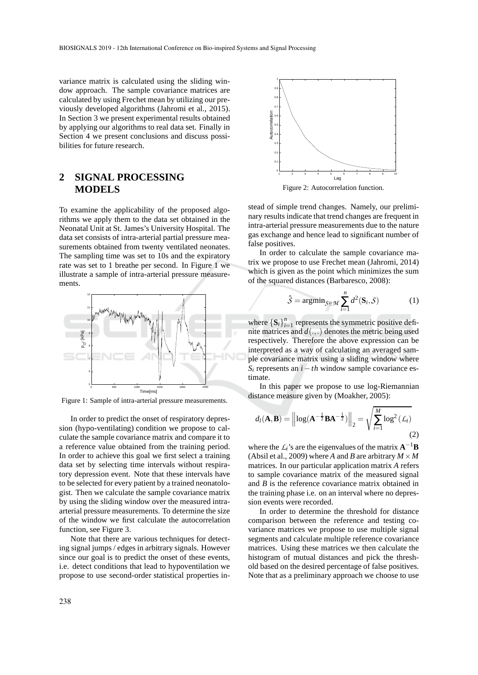variance matrix is calculated using the sliding window approach. The sample covariance matrices are calculated by using Frechet mean by utilizing our previously developed algorithms (Jahromi et al., 2015). In Section 3 we present experimental results obtained by applying our algorithms to real data set. Finally in Section 4 we present conclusions and discuss possibilities for future research.

## **2 SIGNAL PROCESSING MODELS**

To examine the applicability of the proposed algorithms we apply them to the data set obtained in the Neonatal Unit at St. James's University Hospital. The data set consists of intra-arterial partial pressure measurements obtained from twenty ventilated neonates. The sampling time was set to 10s and the expiratory rate was set to 1 breathe per second. In Figure 1 we illustrate a sample of intra-arterial pressure measurements.



Figure 1: Sample of intra-arterial pressure measurements.

In order to predict the onset of respiratory depression (hypo-ventilating) condition we propose to calculate the sample covariance matrix and compare it to a reference value obtained from the training period. In order to achieve this goal we first select a training data set by selecting time intervals without respiratory depression event. Note that these intervals have to be selected for every patient by a trained neonatologist. Then we calculate the sample covariance matrix by using the sliding window over the measured intraarterial pressure measurements. To determine the size of the window we first calculate the autocorrelation function, see Figure 3.

Note that there are various techniques for detecting signal jumps / edges in arbitrary signals. However since our goal is to predict the onset of these events, i.e. detect conditions that lead to hypoventilation we propose to use second-order statistical properties in-



Figure 2: Autocorrelation function.

stead of simple trend changes. Namely, our preliminary results indicate that trend changes are frequent in intra-arterial pressure measurements due to the nature gas exchange and hence lead to significant number of false positives.

In order to calculate the sample covariance matrix we propose to use Frechet mean (Jahromi, 2014) which is given as the point which minimizes the sum of the squared distances (Barbaresco, 2008):

$$
\hat{S} = \operatorname{argmin}_{S \in \mathcal{M}} \sum_{i=1}^{n} d^2(\mathbf{S}_i, S) \tag{1}
$$

where  ${\bf S}_i$  $\}_{i=1}^n$  represents the symmetric positive definite matrices and *d*(.,.) denotes the metric being used respectively. Therefore the above expression can be interpreted as a way of calculating an averaged sample covariance matrix using a sliding window where *S<sup>i</sup>* represents an *i*−*th* window sample covariance estimate.

In this paper we propose to use log-Riemannian distance measure given by (Moakher, 2005):

$$
d_l(\mathbf{A}, \mathbf{B}) = \left\| \log(\mathbf{A}^{-\frac{1}{2}} \mathbf{B} \mathbf{A}^{-\frac{1}{2}}) \right\|_2 = \sqrt{\sum_{i=1}^{M} \log^2(\mathcal{L}_i)}
$$
(2)

where the  $\mathcal{L}_i$ 's are the eigenvalues of the matrix  $\mathbf{A}^{-1}\mathbf{B}$ (Absil et al., 2009) where *A* and *B* are arbitrary  $M \times M$ matrices. In our particular application matrix *A* refers to sample covariance matrix of the measured signal and *B* is the reference covariance matrix obtained in the training phase i.e. on an interval where no depression events were recorded.

In order to determine the threshold for distance comparison between the reference and testing covariance matrices we propose to use multiple signal segments and calculate multiple reference covariance matrices. Using these matrices we then calculate the histogram of mutual distances and pick the threshold based on the desired percentage of false positives. Note that as a preliminary approach we choose to use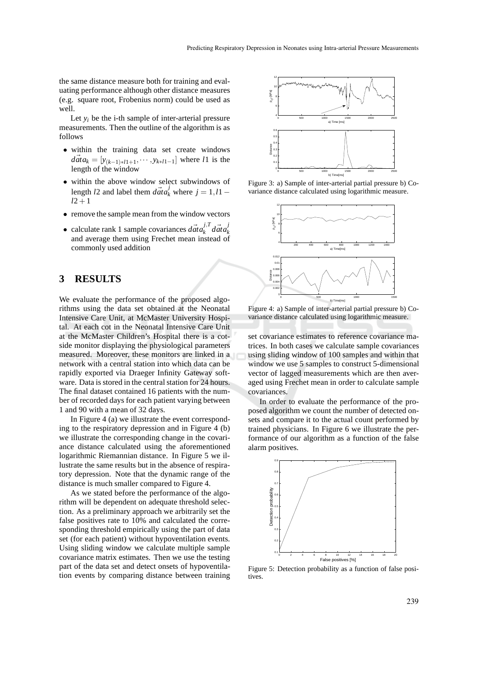the same distance measure both for training and evaluating performance although other distance measures (e.g. square root, Frobenius norm) could be used as well.

Let  $y_i$  be the *i*-th sample of inter-arterial pressure measurements. Then the outline of the algorithm is as follows

- within the training data set create windows  $d\vec{a} \cdot t a_k = [y_{(k-1)*l1+1}, \cdots, y_{k+l1-1}]$  where *l*1 is the length of the window
- within the above window select subwindows of length *l*2 and label them  $\overrightarrow{data}_k^j$  where  $j = 1, l1$  − *l*2+1
- remove the sample mean from the window vectors
- calculate rank 1 sample covariances  $\vec{data}_k^{j,T}$  $\vec{f}_k$ <sup>*j*</sup>, $\vec{f}_k$ *data k* and average them using Frechet mean instead of commonly used addition

## **3 RESULTS**

We evaluate the performance of the proposed algorithms using the data set obtained at the Neonatal Intensive Care Unit, at McMaster University Hospital. At each cot in the Neonatal Intensive Care Unit at the McMaster Children's Hospital there is a cotside monitor displaying the physiological parameters measured. Moreover, these monitors are linked in a network with a central station into which data can be rapidly exported via Draeger Infinity Gateway software. Data is stored in the central station for 24 hours. The final dataset contained 16 patients with the number of recorded days for each patient varying between 1 and 90 with a mean of 32 days.

In Figure 4 (a) we illustrate the event corresponding to the respiratory depression and in Figure 4 (b) we illustrate the corresponding change in the covariance distance calculated using the aforementioned logarithmic Riemannian distance. In Figure 5 we illustrate the same results but in the absence of respiratory depression. Note that the dynamic range of the distance is much smaller compared to Figure 4.

As we stated before the performance of the algorithm will be dependent on adequate threshold selection. As a preliminary approach we arbitrarily set the false positives rate to 10% and calculated the corresponding threshold empirically using the part of data set (for each patient) without hypoventilation events. Using sliding window we calculate multiple sample covariance matrix estimates. Then we use the testing part of the data set and detect onsets of hypoventilation events by comparing distance between training



Figure 3: a) Sample of inter-arterial partial pressure b) Covariance distance calculated using logarithmic measure.



Figure 4: a) Sample of inter-arterial partial pressure b) Covariance distance calculated using logarithmic measure.

set covariance estimates to reference covariance matrices. In both cases we calculate sample covariances using sliding window of 100 samples and within that window we use 5 samples to construct 5-dimensional vector of lagged measurements which are then averaged using Frechet mean in order to calculate sample covariances.

In order to evaluate the performance of the proposed algorithm we count the number of detected onsets and compare it to the actual count performed by trained physicians. In Figure 6 we illustrate the performance of our algorithm as a function of the false alarm positives.



Figure 5: Detection probability as a function of false positives.